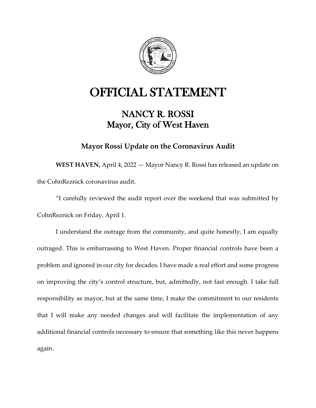

## OFFICIAL STATEMENT

## NANCY R. ROSSI Mayor, City of West Haven

## **Mayor Rossi Update on the Coronavirus Audit**

**WEST HAVEN,** April 4, 2022 — Mayor Nancy R. Rossi has released an update on the CohnReznick coronavirus audit.

"I carefully reviewed the audit report over the weekend that was submitted by CohnReznick on Friday, April 1.

I understand the outrage from the community, and quite honestly, I am equally outraged. This is embarrassing to West Haven. Proper financial controls have been a problem and ignored in our city for decades. I have made a real effort and some progress on improving the city's control structure, but, admittedly, not fast enough. I take full responsibility as mayor, but at the same time, I make the commitment to our residents that I will make any needed changes and will facilitate the implementation of any additional financial controls necessary to ensure that something like this never happens again.